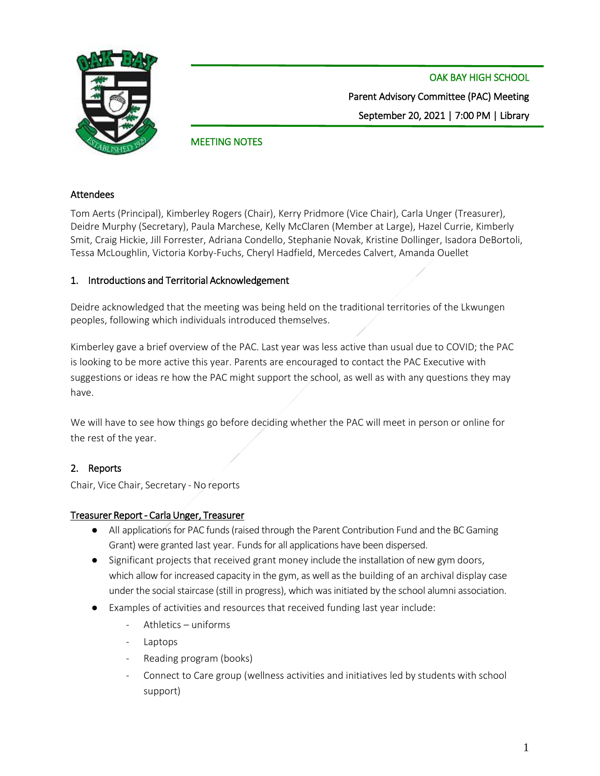

OAK BAY HIGH SCHOOL Parent Advisory Committee (PAC) Meeting September 20, 2021 | 7:00 PM | Library

# MEETING NOTES

#### Attendees

Tom Aerts (Principal), Kimberley Rogers (Chair), Kerry Pridmore (Vice Chair), Carla Unger (Treasurer), Deidre Murphy (Secretary), Paula Marchese, Kelly McClaren (Member at Large), Hazel Currie, Kimberly Smit, Craig Hickie, Jill Forrester, Adriana Condello, Stephanie Novak, Kristine Dollinger, Isadora DeBortoli, Tessa McLoughlin, Victoria Korby-Fuchs, Cheryl Hadfield, Mercedes Calvert, Amanda Ouellet

## 1. Introductions and Territorial Acknowledgement

Deidre acknowledged that the meeting was being held on the traditional territories of the Lkwungen peoples, following which individuals introduced themselves.

Kimberley gave a brief overview of the PAC. Last year was less active than usual due to COVID; the PAC is looking to be more active this year. Parents are encouraged to contact the PAC Executive with suggestions or ideas re how the PAC might support the school, as well as with any questions they may have.

We will have to see how things go before deciding whether the PAC will meet in person or online for the rest of the year.

## 2. Reports

Chair, Vice Chair, Secretary - No reports

## Treasurer Report - Carla Unger, Treasurer

- All applications for PAC funds (raised through the Parent Contribution Fund and the BC Gaming Grant) were granted last year. Funds for all applications have been dispersed.
- Significant projects that received grant money include the installation of new gym doors, which allow for increased capacity in the gym, as well as the building of an archival display case under the social staircase (still in progress), which was initiated by the school alumni association.
- Examples of activities and resources that received funding last year include:
	- Athletics uniforms
	- **Laptops**
	- Reading program (books)
	- Connect to Care group (wellness activities and initiatives led by students with school support)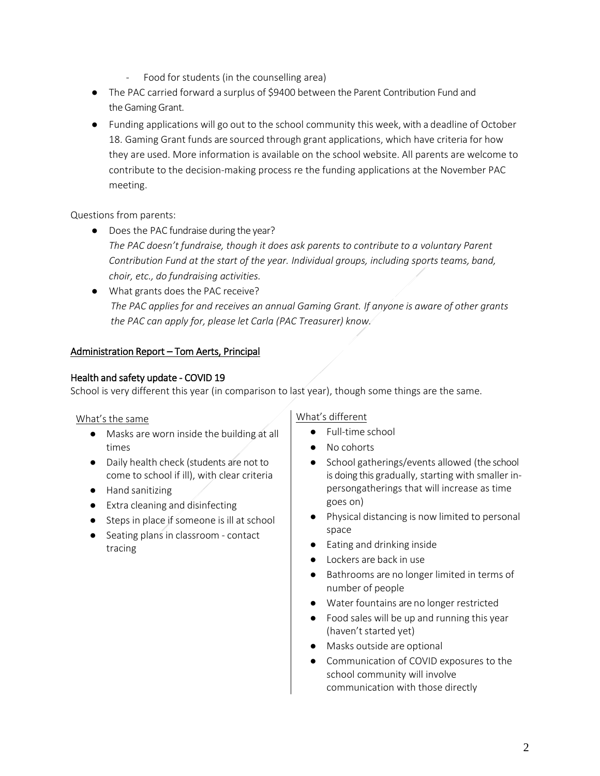- Food for students (in the counselling area)
- The PAC carried forward a surplus of \$9400 between the Parent Contribution Fund and the Gaming Grant.
- Funding applications will go out to the school community this week, with a deadline of October 18. Gaming Grant funds are sourced through grant applications, which have criteria for how they are used. More information is available on the school website. All parents are welcome to contribute to the decision-making process re the funding applications at the November PAC meeting.

## Questions from parents:

- Does the PAC fundraise during the year? *The PAC doesn't fundraise, though it does ask parents to contribute to a voluntary Parent Contribution Fund at the start of the year. Individual groups, including sports teams, band, choir, etc., do fundraising activities.*
- What grants does the PAC receive? *The PAC applies for and receives an annual Gaming Grant. If anyone is aware of other grants the PAC can apply for, please let Carla (PAC Treasurer) know.*

## Administration Report – Tom Aerts, Principal

## Health and safety update - COVID 19

School is very different this year (in comparison to last year), though some things are the same.

## What's the same

- Masks are worn inside the building at all times
- Daily health check (students are not to come to school if ill), with clear criteria
- Hand sanitizing
- Extra cleaning and disinfecting
- Steps in place if someone is ill at school
- Seating plans in classroom contact tracing

## What's different

- Full-time school
- No cohorts
- School gatherings/events allowed (the school is doing this gradually, starting with smaller inpersongatherings that will increase as time goes on)
- Physical distancing is now limited to personal space
- Eating and drinking inside
- Lockers are back in use
- Bathrooms are no longer limited in terms of number of people
- Water fountains are no longer restricted
- Food sales will be up and running this year (haven't started yet)
- Masks outside are optional
- Communication of COVID exposures to the school community will involve communication with those directly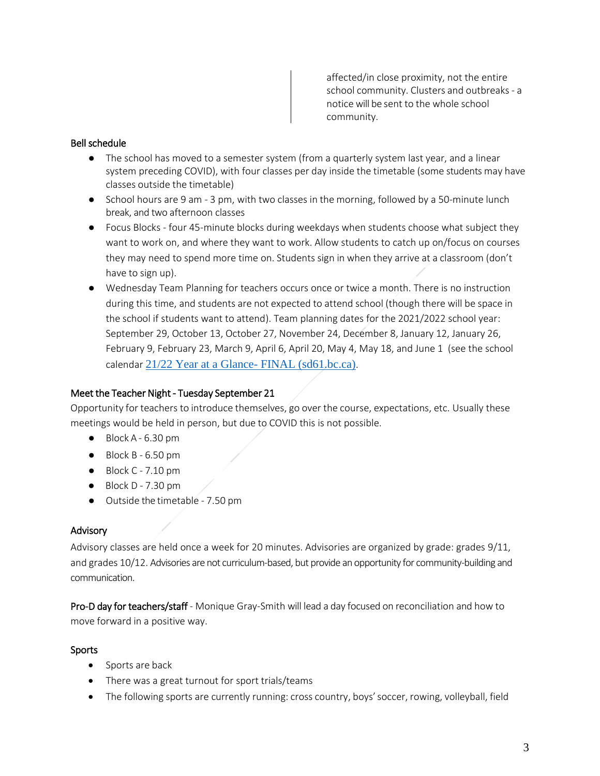affected/in close proximity, not the entire school community. Clusters and outbreaks - a notice will be sent to the whole school community.

### Bell schedule

- The school has moved to a semester system (from a quarterly system last year, and a linear system preceding COVID), with four classes per day inside the timetable (some students may have classes outside the timetable)
- School hours are 9 am 3 pm, with two classes in the morning, followed by a 50-minute lunch break, and two afternoon classes
- Focus Blocks four 45-minute blocks during weekdays when students choose what subject they want to work on, and where they want to work. Allow students to catch up on/focus on courses they may need to spend more time on. Students sign in when they arrive at a classroom (don't have to sign up).
- Wednesday Team Planning for teachers occurs once or twice a month. There is no instruction during this time, and students are not expected to attend school (though there will be space in the school if students want to attend). Team planning dates for the 2021/2022 school year: September 29, October 13, October 27, November 24, December 8, January 12, January 26, February 9, February 23, March 9, April 6, April 20, May 4, May 18, and June 1 (see the school calendar [21/22 Year at a Glance-](https://oakbay.sd61.bc.ca/wp-content/uploads/sites/37/2021/09/21_22-Year-at-a-Glance-FINAL-Aug.pdf) FINAL (sd61.bc.ca).

#### Meet the Teacher Night - Tuesday September 21

Opportunity for teachers to introduce themselves, go over the course, expectations, etc. Usually these meetings would be held in person, but due to COVID this is not possible.

- $\bullet$  Block A 6.30 pm
- $\bullet$  Block B 6.50 pm
- $\bullet$  Block C 7.10 pm
- $\bullet$  Block D 7.30 pm
- Outside the timetable 7.50 pm

#### Advisory

Advisory classes are held once a week for 20 minutes. Advisories are organized by grade: grades 9/11, and grades 10/12. Advisories are not curriculum-based, but provide an opportunity for community-building and communication.

Pro-D day for teachers/staff - Monique Gray-Smith will lead a day focused on reconciliation and how to move forward in a positive way.

#### Sports

- Sports are back
- There was a great turnout for sport trials/teams
- The following sports are currently running: cross country, boys' soccer, rowing, volleyball, field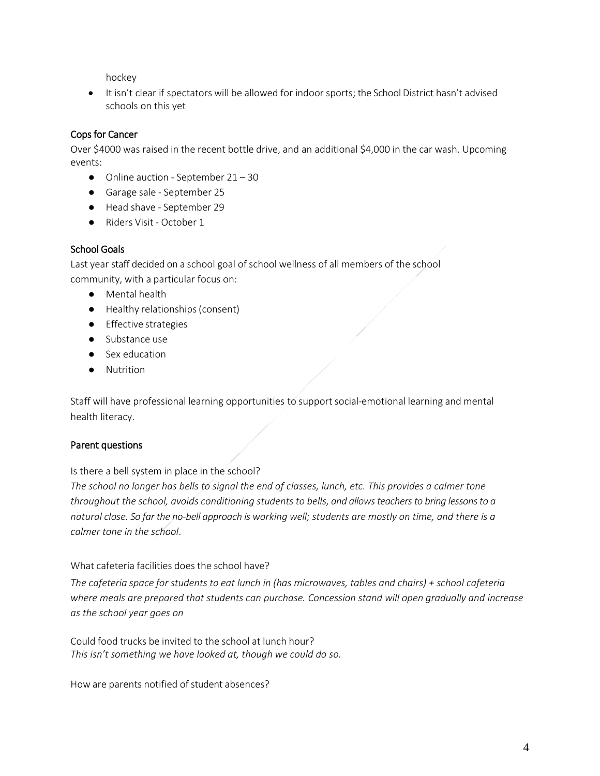hockey

• It isn't clear if spectators will be allowed for indoor sports; the School District hasn't advised schools on this yet

# Cops for Cancer

Over \$4000 was raised in the recent bottle drive, and an additional \$4,000 in the car wash. Upcoming events:

- Online auction September 21 30
- Garage sale September 25
- Head shave September 29
- Riders Visit October 1

### School Goals

Last year staff decided on a school goal of school wellness of all members of the school community, with a particular focus on:

- Mental health
- Healthy relationships(consent)
- Effective strategies
- Substance use
- Sex education
- Nutrition

Staff will have professional learning opportunities to support social-emotional learning and mental health literacy.

## Parent questions

Is there a bell system in place in the school?

*The school no longer has bells to signal the end of classes, lunch, etc. This provides a calmer tone throughout the school, avoids conditioning students to bells, and allows teachers to bring lessons to a natural close. So far the no-bell approach is working well; students are mostly on time, and there is a calmer tone in the school*.

What cafeteria facilities does the school have?

*The cafeteria space for students to eat lunch in (has microwaves, tables and chairs) + school cafeteria where meals are prepared that students can purchase. Concession stand will open gradually and increase as the school year goes on*

Could food trucks be invited to the school at lunch hour? *This isn't something we have looked at, though we could do so.*

How are parents notified of student absences?